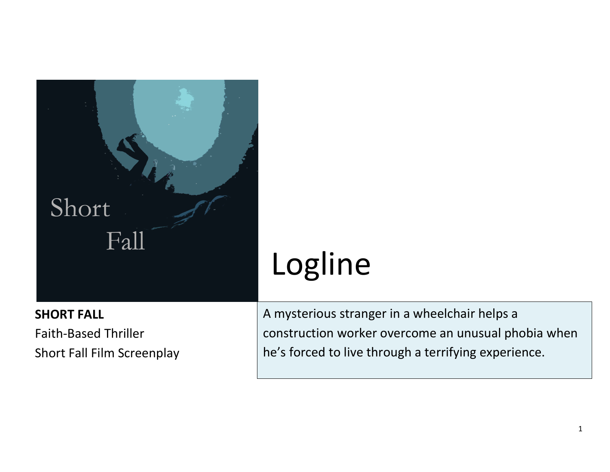

## **SHORT FALL**

Faith-Based Thriller Short Fall Film Screenplay

## Logline

A mysterious stranger in a wheelchair helps a construction worker overcome an unusual phobia when he's forced to live through a terrifying experience.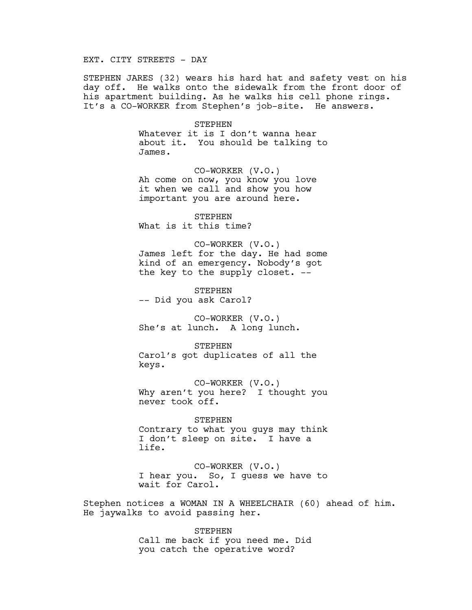## EXT. CITY STREETS - DAY

STEPHEN JARES (32) wears his hard hat and safety vest on his day off. He walks onto the sidewalk from the front door of his apartment building. As he walks his cell phone rings. It's a CO-WORKER from Stephen's job-site. He answers.

> STEPHEN Whatever it is I don't wanna hear about it. You should be talking to James.

CO-WORKER (V.O.) Ah come on now, you know you love it when we call and show you how important you are around here.

STEPHEN What is it this time?

CO-WORKER (V.O.) James left for the day. He had some kind of an emergency. Nobody's got the key to the supply closet. --

STEPHEN -- Did you ask Carol?

CO-WORKER (V.O.) She's at lunch. A long lunch.

**STEPHEN** Carol's got duplicates of all the keys.

CO-WORKER (V.O.) Why aren't you here? I thought you never took off.

STEPHEN Contrary to what you guys may think I don't sleep on site. I have a life.

CO-WORKER (V.O.) I hear you. So, I guess we have to wait for Carol.

Stephen notices a WOMAN IN A WHEELCHAIR (60) ahead of him. He jaywalks to avoid passing her.

> **STEPHEN** Call me back if you need me. Did you catch the operative word?